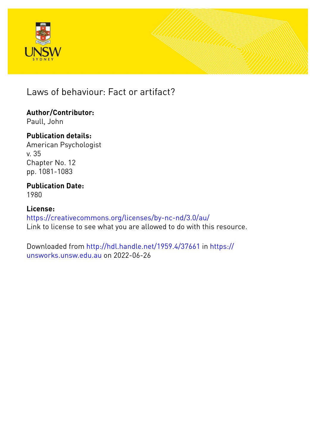



Laws of behaviour: Fact or artifact?

## **Author/Contributor:**

Paull, John

## **Publication details:**

American Psychologist v. 35 Chapter No. 12 pp. 1081-1083

#### **Publication Date:** 1980

### **License:**

<https://creativecommons.org/licenses/by-nc-nd/3.0/au/> Link to license to see what you are allowed to do with this resource.

Downloaded from <http://hdl.handle.net/1959.4/37661> in [https://](https://unsworks.unsw.edu.au) [unsworks.unsw.edu.au](https://unsworks.unsw.edu.au) on 2022-06-26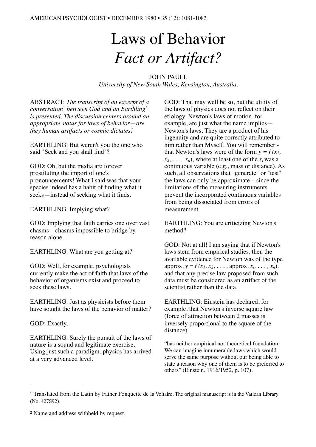# Laws of Behavior *Fact or Artifact?*

JOHN PAULL

*University of New South Wales, Kensington, Australia.* 

ABSTRACT: *The transcript of an excerpt of a conversation*[1](#page-1-0) *between God and an Earthling[2](#page-1-1) is presented. The discussion centers around an appropriate status for laws of behavior*—*are they human artifacts or cosmic dictates?* 

EARTHLING: But weren't you the one who said "Seek and you shall find"?

GOD: Oh, but the media are forever prostituting the import of one's pronouncements! What I said was that your species indeed has a habit of finding what it seeks—instead of seeking what it finds.

EARTHLING: Implying what?

GOD: Implying that faith carries one over vast chasms—chasms impossible to bridge by reason alone.

EARTHLING: What are you getting at?

GOD: Well, for example, psychologists currently make the act of faith that laws of the behavior of organisms exist and proceed to seek these laws.

EARTHLING: Just as physicists before them have sought the laws of the behavior of matter?

GOD: Exactly.

EARTHLING: Surely the pursuit of the laws of nature is a sound and legitimate exercise. Using just such a paradigm, physics has arrived at a very advanced level.

GOD: That may well be so, but the utility of the laws of physics does not reflect on their etiology. Newton's laws of motion, for example, are just what the name implies— Newton's laws. They are a product of his ingenuity and are quite correctly attributed to him rather than Myself. You will remember that Newton's laws were of the form  $y = f(x)$ ,  $(x_2, \ldots, x_n)$ , where at least one of the  $x_i$  was a continuous variable (e.g., mass or distance). As such, all observations that "generate" or "test" the laws can only be approximate—since the limitations of the measuring instruments prevent the incorporated continuous variables from being dissociated from errors of measurement.

EARTHLING: You are criticizing Newton's method?

GOD: Not at all! I am saying that if Newton's laws stem from empirical studies, then the available evidence for Newton was of the type  $approx. y = f(x_1, x_2, \ldots, \text{approx}. x_i, \ldots, x_n),$ and that any precise law proposed from such data must be considered as an artifact of the scientist rather than the data.

EARTHLING: Einstein has declared, for example, that Newton's inverse square law (force of attraction between 2 masses is inversely proportional to the square of the distance)

"has neither empirical nor theoretical foundation. We can imagine innumerable laws which would serve the same purpose without our being able to state a reason why one of them is to be preferred to others" (Einstein, 1916/1952, p. 107).

<span id="page-1-0"></span><sup>1</sup> Translated from the Latin by Father Fonquette de la Voltaire. The original manuscript is in the Vatican Library (No. 427S92).

<span id="page-1-1"></span><sup>2</sup> Name and address withheld by request.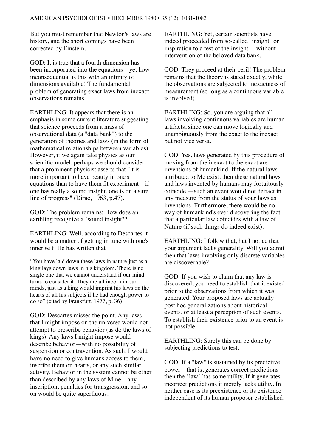But you must remember that Newton's laws are history, and the short comings have been corrected by Einstein.

GOD: It is true that a fourth dimension has been incorporated into the equations—yet how inconsequential is this with an infinity of dimensions available! The fundamental problem of generating exact laws from inexact observations remains.

EARTHLING: It appears that there is an emphasis in some current literature suggesting that science proceeds from a mass of observational data (a "data bank") to the generation of theories and laws (in the form of mathematical relationships between variables). However, if we again take physics as our scientific model, perhaps we should consider that a prominent physicist asserts that "it is more important to have beauty in one's equations than to have them fit experiment—if one has really a sound insight, one is on a sure line of progress" (Dirac, 1963, p.47).

GOD: The problem remains: How does an earthling recognize a "sound insight"?

EARTHLING: Well, according to Descartes it would be a matter of getting in tune with one's inner self. He has written that

"You have laid down these laws in nature just as a king lays down laws in his kingdom. There is no single one that we cannot understand if our mind turns to consider it. They are all inborn in our minds, just as a king would imprint his laws on the hearts of all his subjects if he had enough power to do so" (cited by Frankfurt, 1977, p. 36).

GOD: Descartes misses the point. Any laws that I might impose on the universe would not attempt to prescribe behavior (as do the laws of kings). Any laws I might impose would describe behavior—with no possibility of suspension or contravention. As such, I would have no need to give humans access to them, inscribe them on hearts, or any such similar activity. Behavior in the system cannot be other than described by any laws of Mine—any inscription, penalties for transgression, and so on would be quite superfluous.

EARTHLING: Yet, certain scientists have indeed proceeded from so-called "insight" or inspiration to a test of the insight —without intervention of the beloved data bank.

GOD: They proceed at their peril! The problem remains that the theory is stated exactly, while the observations are subjected to inexactness of measurement (so long as a continuous variable is involved).

EARTHLING; So, you are arguing that all laws involving continuous variables are human artifacts, since one can move logically and unambiguously from the exact to the inexact but not vice versa.

GOD: Yes, laws generated by this procedure of moving from the inexact to the exact are inventions of humankind. If the natural laws attributed to Me exist, then these natural laws and laws invented by humans may fortuitously coincide —such an event would not detract in any measure from the status of your laws as inventions. Furthermore, there would be no way of humankind's ever discovering the fact that a particular law coincides with a law of Nature (if such things do indeed exist).

EARTHLING: I follow that, but I notice that your argument lacks generality. Will you admit then that laws involving only discrete variables are discoverable?

GOD: If you wish to claim that any law is discovered, you need to establish that it existed prior to the observations from which it was generated. Your proposed laws are actually post hoc generalizations about historical events, or at least a perception of such events. To establish their existence prior to an event is not possible.

EARTHLING: Surely this can be done by subjecting predictions to test.

GOD: If a "law" is sustained by its predictive power—that is, generates correct predictions then the "law" has some utility. If it generates incorrect predictions it merely lacks utility. In neither case is its preexistence or its existence independent of its human proposer established.